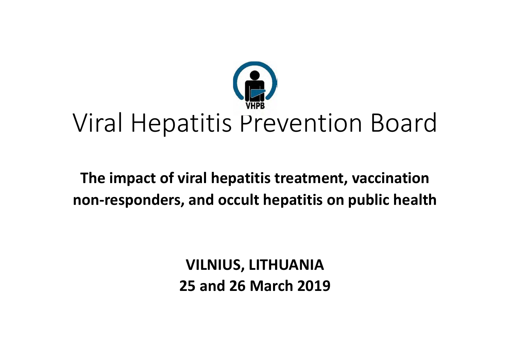

# Viral Hepatitis Prevention Board

### **The impact of viral hepatitis treatment, vaccination non‐responders, and occult hepatitis on public health**

**VILNIUS, LITHUANIA 25 and 26 March 2019**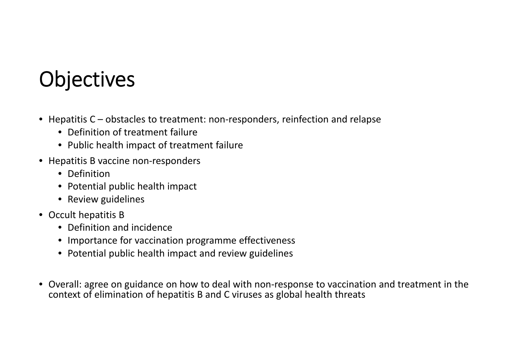# **Objectives**

- Hepatitis C obstacles to treatment: non‐responders, reinfection and relapse
	- Definition of treatment failure
	- Public health impact of treatment failure
- Hepatitis B vaccine non‐responders
	- Definition
	- Potential public health impact
	- Review guidelines
- Occult hepatitis B
	- Definition and incidence
	- Importance for vaccination programme effectiveness
	- Potential public health impact and review guidelines
- Overall: agree on guidance on how to deal with non‐response to vaccination and treatment in the context of elimination of hepatitis B and C viruses as global health threats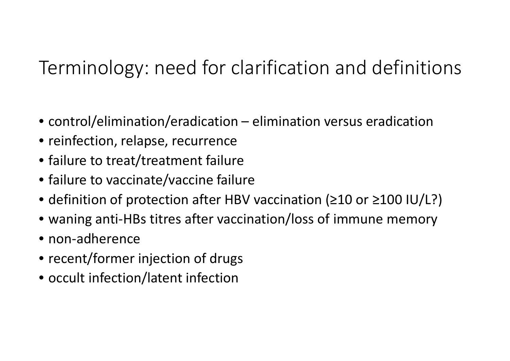### Terminology: need for clarification and definitions

- control/elimination/eradication elimination versus eradication
- reinfection, relapse, recurrence
- failure to treat/treatment failure
- failure to vaccinate/vaccine failure
- definition of protection after HBV vaccination (≥10 or ≥100 IU/L?)
- waning anti‐HBs titres after vaccination/loss of immune memory
- non‐adherence
- recent/former injection of drugs
- occult infection/latent infection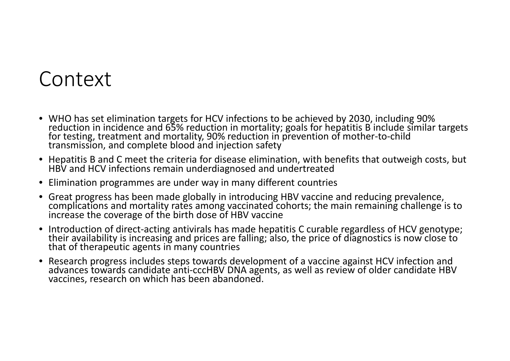### Context

- WHO has set elimination targets for HCV infections to be achieved by 2030, including 90% reductionreduction in incidence and 65% reduction in mortality; goals for hepatitis B include similar targets<br>for testing, treatment and mortality. 90% reduction in prevention of mother-to-child testing, treatment and mortality, 90% reduction in prevention of mother‐to‐child transmission, and complete blood and injection safety
- Hepatitis B and C meet the criteria for disease elimination, with benefits that outweigh costs, but HBV and HCV infections remain underdiagnosed and undertreated
- Elimination programmes are under way in many different countries
- $\bullet$ Great progress has been made globally in introducing HBV vaccine and reducing prevalence, complications and mortality rates among vaccinated cohorts; the main remaining challenge is to increase the coverage of the birth dose of HBV vaccine
- $\bullet$ ■ Introduction of direct-acting antivirals has made hepatitis C curable regardless of HCV genotype;<br>their availability is increasing and prices are falling: also, the price of diagnostics is now close to their availability is increasing and prices are falling; also, the price of diagnostics is now close to that of therapeutic agents in many countries
- $\bullet$ Research progress includes steps towards development of a vaccine against HCV infection and<br>advances towards candidate anti-cccHBV DNA agents, as well as review of older candidate HB towards candidate anti‐cccHBV DNA agents, as well as review of older candidate HBV vaccines, research on which has been abandoned.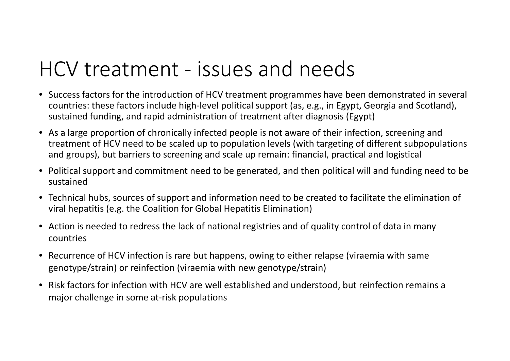## HCV treatment ‐ issues and needs

- Success factors for the introduction of HCV treatment programmes have been demonstrated in several countries: these factors include high‐level political support (as, e.g., in Egypt, Georgia and Scotland), sustained funding, and rapid administration of treatment after diagnosis (Egypt)
- As a large proportion of chronically infected people is not aware of their infection, screening and treatment of HCV need to be scaled up to population levels (with targeting of different subpopulations and groups), but barriers to screening and scale up remain: financial, practical and logistical
- Political support and commitment need to be generated, and then political will and funding need to be sustained
- Technical hubs, sources of support and information need to be created to facilitate the elimination of viral hepatitis (e.g. the Coalition for Global Hepatitis Elimination)
- Action is needed to redress the lack of national registries and of quality control of data in many countries
- Recurrence of HCV infection is rare but happens, owing to either relapse (viraemia with same genotype/strain) or reinfection (viraemia with new genotype/strain)
- $\bullet$ • Risk factors for infection with HCV are well established and understood, but reinfection remains a major challenge in some at‐risk populations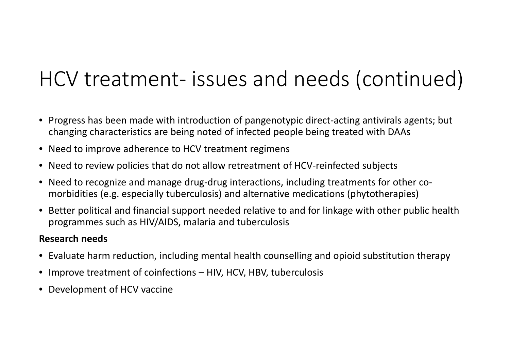## HCV treatment‐ issues and needs (continued)

- Progress has been made with introduction of pangenotypic direct‐acting antivirals agents; but changing characteristics are being noted of infected people being treated with DAAs
- Need to improve adherence to HCV treatment regimens
- Need to review policies that do not allow retreatment of HCV‐reinfected subjects
- Need to recognize and manage drug-drug interactions, including treatments for other comorbidities (e.g. especially tuberculosis) and alternative medications (phytotherapies)
- Better political and financial support needed relative to and for linkage with other public health programmes such as HIV/AIDS, malaria and tuberculosis

#### **Research needs**

- Evaluate harm reduction, including mental health counselling and opioid substitution therapy
- Improve treatment of coinfections HIV, HCV, HBV, tuberculosis
- Development of HCV vaccine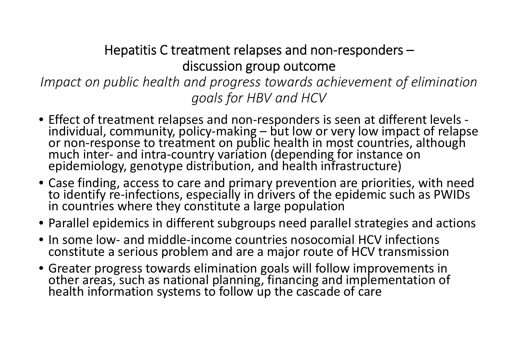#### Hepatitis C treatment relapses and non ‐responders – discussion group outcome

*Impact on public health and progress towards achievement of elimination goals for HBV and HCV*

- Effect of treatment relapses and non ‐responders is seen at different levels ‐ individual, community, policy ‐making but low or very low impact of relapse or non or non-response to treatment on public health in most countries, although<br>much inter- and intra-country variation (depending for instance on<br>epidemiology, genotype distribution, and health infrastructure)
- Case finding, access to care and primary prevention are priorities, with need to identify re ‐infections, especially in drivers of the epidemic such as PWIDs in countries where they constitute a large population
- Parallel epidemics in different subgroups need parallel strategies and actions
- In some low- and middle-income countries nosocomial HCV infections constitute a serious problem and are a major route of HCV transmission
- Greater progress towards elimination goals will follow improvements in Greater progress towards elimination goals will follow improvements in **out the rate of the standard of the enti**<br>The other areas, such as national planning, financing and implementation o other areas, such as national planning, financing and implementation of<br>health information systems to follow up the cascade of care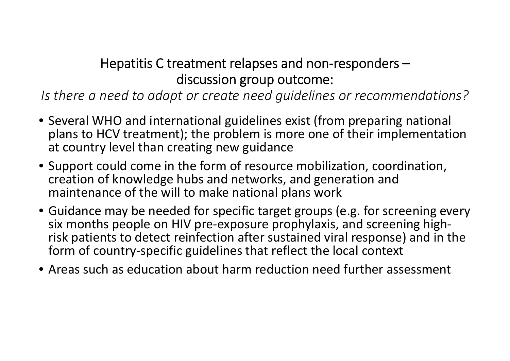#### Hepatitis C treatment relapses and non-responders – discussion group outcome:

*Is there a need to adapt or create need guidelines or recommendations?*

- Several WHO and international guidelines exist (from preparing national plans to HCV treatment); the problem is more one of their implementation at country level than creating new guidance
- Support could come in the form of resource mobilization, coordination, creation of knowledge hubs and networks, and generation and maintenance of the will to make national plans work
- Guidance may be needed for specific target groups (e.g. for screening every six months people on HIV pre‐exposure prophylaxis, and screening high‐ risk patients to detect reinfection after sustained viral response) and in the form of country‐specific guidelines that reflect the local context
- Areas such as education about harm reduction need further assessment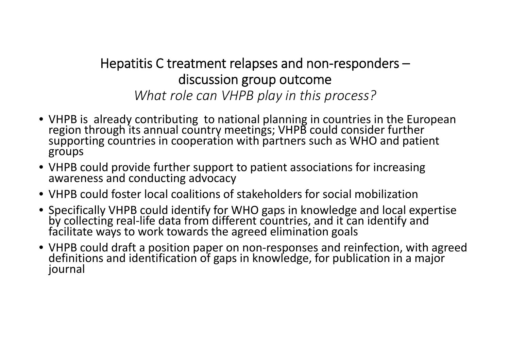#### Hepatitis C treatment relapses and non ‐responders – discussion group outcome *What role can VHPB play in this process?*

- VHPB is already contributing to national planning in countries in the European region through its annual country meetings; VHPB could consider further supporting countries in cooperation with partners such as WHO and patient groups
- VHPB could provide further support to patient associations for increasing awareness and conducting advocacy
- VHPB could foster local coalitions of stakeholders for social mobilization
- Specifically VHPB could identify for WHO gaps in knowledge and local expertise Specifically VHPB could identify for WHO gaps in knowledge and local expertise by collecting real ‐life data from different countries, and it can identify and facilitate ways to work towards the agreed elimination goals
- VHPB could draft a position paper on non ‐responses and reinfection, with agreed definitionsdefinitions and identification of gaps in knowledge, for publication in a major<br>journal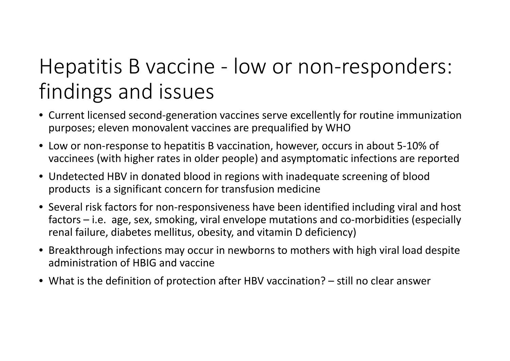## Hepatitis B vaccine ‐ low or non‐responders: findings and issues

- Current licensed second‐generation vaccines serve excellently for routine immunization purposes; eleven monovalent vaccines are prequalified by WHO
- $\bullet$  Low or non‐response to hepatitis B vaccination, however, occurs in about 5‐10% of vaccinees (with higher rates in older people) and asymptomatic infections are reported
- Undetected HBV in donated blood in regions with inadequate screening of blood products is <sup>a</sup> significant concern for transfusion medicine
- Several risk factors for non‐responsiveness have been identified including viral and host factors – i.e. age, sex, smoking, viral envelope mutations and co‐morbidities (especially renal failure, diabetes mellitus, obesity, and vitamin D deficiency)
- Breakthrough infections may occur in newborns to mothers with high viral load despite administration of HBIG and vaccine
- What is the definition of protection after HBV vaccination? still no clear answer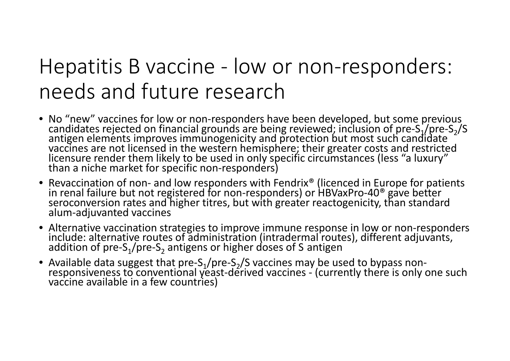## Hepatitis B vaccine ‐ low or non ‐responders: needs and future research

- No "new" vaccines for low or non-responders have been developed, but some previous<br>/candidates rejected on financial grounds are being reviewed; inclusion of pre-S<sub>1</sub>/pre-S<sub>2</sub> ‐ S candidates rejected on financial grounds are being reviewed; inclusion of pre-S,/pre-S,/S<br>antigen elements improves immunogenicity and protection but most such candidate vaccines are not licensed in the western hemisphere; their greater costs and restricted<br>licensure render them likely to be used in only specific circumstances (less "a luxury"<br>than a niche market for specific non-responder a niche market for specific non ‐responders)
- •• Revaccination of non- and low responders with Fendrix® (licenced in Europe for patients in renal failure but not registered for non ‐responders) or HBVaxPro ‐40® gave better seroconversion rates and higher titres, but with greater reactogenicity, than standard<br>alum-adiuvanted vaccines ‐adjuvanted vaccines
- Alternative vaccination strategies to improve immune response in low or non ‐responders include:include: alternative routes of administration (intradermal routes), different adjuvants,<br>addition of pre-S<sub>1</sub>/pre-S<sub>2</sub> antigens or higher doses of S antigen -S<sub>2</sub> antigens or higher doses of S antigen
- Available data suggest that pre-S<sub>1</sub>/pre ‐ S 2/S vaccines may be used to bypass non Available data suggest that pre-3<sub>1</sub>/pre-3<sub>2</sub>/3 vaccines may be used to bypass non-<br>responsiveness to conventional yeast-derived vaccines - (currently there is only one such vaccine available in a few countries)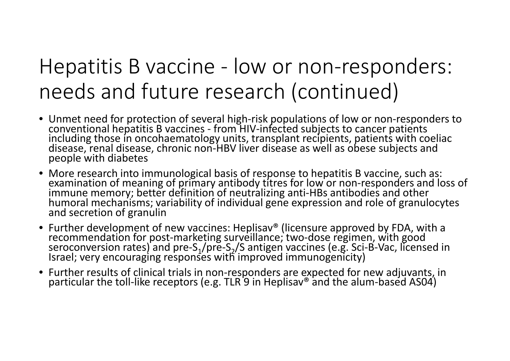## Hepatitis B vaccine ‐ low or non ‐responders: needs and future research (continued)

- Unmet need for protection of several high-risk populations of low or non-responders to<br>conventional hepatitis B vaccines from HIV-infected subjects to cancer patients conventional hepatitis B vaccines - from HIV-infected subjects to cancer patients<br>including those in oncohaematology units, transplant recipients, patients with coeliac<br>disease, renal disease, chronic non-HBV liver disease
- More research into immunological basis of response to hepatitis B vaccine, such as: examination of meaning of primary antibody titres for low or non ‐responders and loss of immune memory; better definition of neutralizing anti ‐HBs antibodies and other humoral mechanisms; variability of individual gene expression and role of granulocytes<br>and secretion of granulin and secretion of granulin
- Further development of new vaccines: Heplisav® (licensure approved by FDA, with a recommendation for post ‐marketing surveillance; two ‐dose regimen, with good seroconversion rates) and pre-S $_1$ /pre $\,$ ‐ S 2/S antigen vaccines (e.g. Sci ‐ B ‐Vac, licensed in Israel; very encouraging responses with improved immunogenicity)
- Further results of clinical trials in non Further results of clinical trials in non-responders are expected for new adjuvants, in<br>particular the toll-like receptors (e.g. TLR 9 in Heplisav® and the alum-based AS04)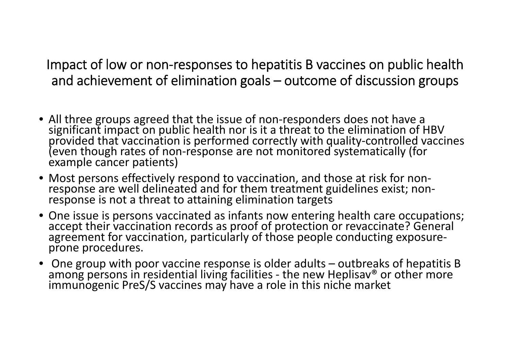Impact of low or non ‐responses to hepatitis B vaccines on public health and achievement of elimination goals – outcome of discussion groups

- All three groups agreed that the issue of non ‐responders does not have a significant impact on public health nor is it a threat to the elimination of HBV<br>provided that vaccination is performed correctly with quality-controlled vaccines (even though rates of non-response are not monitored systematically (for<br>example cancer patients)
- Most persons effectively respond to vaccination, and those at risk for non ‐ response are well delineated and for them treatment guidelines exist; non ‐ response is not a threat to attaining elimination targets
- One issue is persons vaccinated as infants now entering health care occupations; accept their vaccination records as proof of protection or revaccinate? General agreement for vaccination, particularly of those people conducting exposure ‐ prone procedures.
- One group with poor vaccine response is older adults outbreaks of hepatitis B<br>among persons in residential living facilities the new Heplisav® or other more immunogenic PreS/S vaccines may have a role in this niche market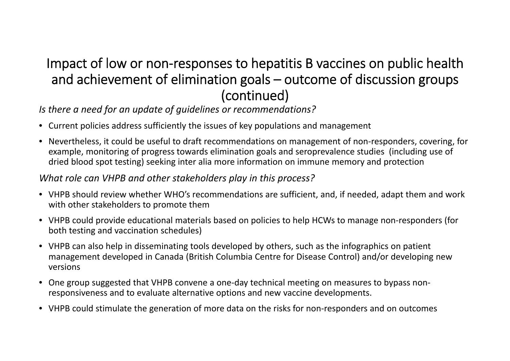#### Impact of low or non‐responses to hepatitis B vaccines on public health and achievement of elimination goals – outcome of discussion groups (continued)

*Is there a need for an update of guidelines or recommendations?*

- Current policies address sufficiently the issues of key populations and management
- Nevertheless, it could be useful to draft recommendations on management of non‐responders, covering, for example, monitoring of progress towards elimination goals and seroprevalence studies (including use of dried blood spot testing) seeking inter alia more information on immune memory and protection

#### *What role can VHPB and other stakeholders play in this process?*

- VHPB should review whether WHO's recommendations are sufficient, and, if needed, adapt them and work with other stakeholders to promote them
- VHPB could provide educational materials based on policies to help HCWs to manage non‐responders (for both testing and vaccination schedules)
- VHPB can also help in disseminating tools developed by others, such as the infographics on patient management developed in Canada (British Columbia Centre for Disease Control) and/or developing new versions
- •● One group suggested that VHPB convene a one-day technical meeting on measures to bypass nonresponsiveness and to evaluate alternative options and new vaccine developments.
- VHPB could stimulate the generation of more data on the risks for non‐responders and on outcomes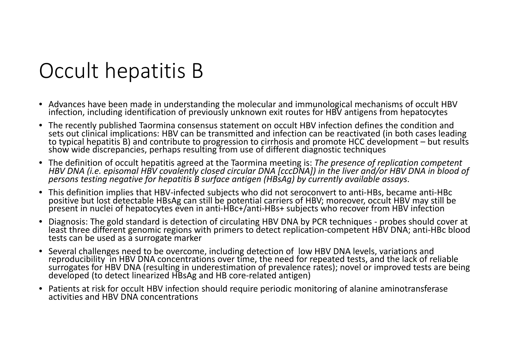## Occult hepatitis B

- Advances have been made in understanding the molecular and immunological mechanisms of occult HBV infection, including identification of previously unknown exit routes for HBV antigens from hepatocytes
- The recently published Taormina consensus statement on occult HBV infection defines the condition and sets out clinical implications: HBV can be transmitted and infection can be reactivated (in both cases leading to typical hepatitis B) and contribute to progression to cirrhosis and promote HCC development – but results<br>show wide discrepancies, perhaps resulting from use of different diagnostic techniques wide discrepancies, perhaps resulting from use of different diagnostic techniques
- The definition of occult hepatitis agreed at the Taormina meeting is: *The presence of replication competent* HBV DNA (i.e. episomal HBV covalently closed circular DNA [cccDNA]) in the liver and/or HBV DNA in blood of *persons testing negative for hepatitis B surface antigen (HBsAg) by currently available assays*.
- This definition implies that HBV‐infected subjects who did not seroconvert to anti‐HBs, became anti‐HBc positive but lost detectable HBsAg can still be potential carriers of HBV; moreover, occult HBV may still be present in nuclei of hepatocytes even in anti-HBc+/anti-HBs+ subjects who recover from HBV infection
- •Diagnosis: The gold standard is detection of circulating HBV DNA by PCR techniques - probes should cover at t three different genomic regions with primers to detect replication‐competent HBV DNA; anti‐HBc blood tests can be used as <sup>a</sup> surrogate marker
- •Several challenges need to be overcome, including detection of low HBV DNA levels, variations and reproducibility in HBV DNA concentrations over time, the need for repeated tests, and the lack of reliable surrogates for HBV DNA (resulting in underestimation of prevalence rates); novel or improved tests are being developed (to detect linearized HBsAg and HB core-related antigen)
- Patients at risk for occult HBV infection should require periodic monitoring of alanine aminotransferase activities and HBV DNA concentrations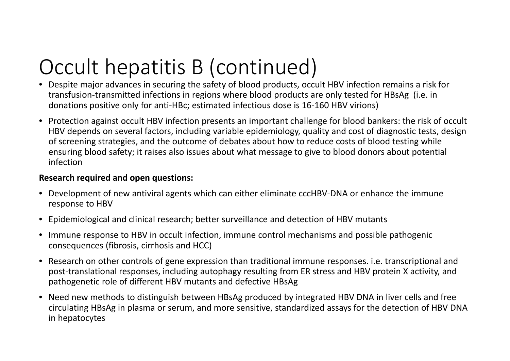# Occult hepatitis B (continued)

- Despite major advances in securing the safety of blood products, occult HBV infection remains <sup>a</sup> risk for transfusion‐transmitted infections in regions where blood products are only tested for HBsAg (i.e. in donations positive only for anti‐HBc; estimated infectious dose is 16‐160 HBV virions)
- Protection against occult HBV infection presents an important challenge for blood bankers: the risk of occult HBV depends on several factors, including variable epidemiology, quality and cost of diagnostic tests, design of screening strategies, and the outcome of debates about how to reduce costs of blood testing while ensuring blood safety; it raises also issues about what message to give to blood donors about potential infection

#### **Research required and open questions:**

- Development of new antiviral agents which can either eliminate cccHBV‐DNA or enhance the immune response to HBV
- Epidemiological and clinical research; better surveillance and detection of HBV mutants
- Immune response to HBV in occult infection, immune control mechanisms and possible pathogenic consequences (fibrosis, cirrhosis and HCC)
- Research on other controls of gene expression than traditional immune responses. i.e. transcriptional and post‐translational responses, including autophagy resulting from ER stress and HBV protein X activity, and pathogenetic role of different HBV mutants and defective HBsAg
- Need new methods to distinguish between HBsAg produced by integrated HBV DNA in liver cells and free circulating HBsAg in plasma or serum, and more sensitive, standardized assays for the detection of HBV DNA in hepatocytes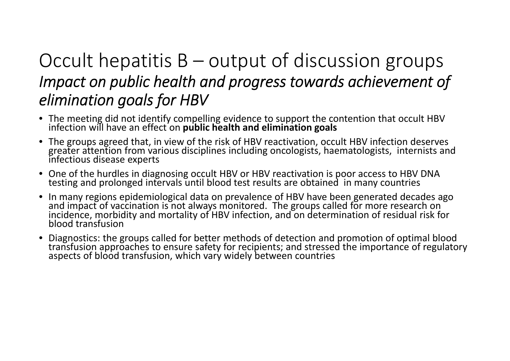#### Occult hepatitis B – output of discussion groups *Impact on public health and progress towards achievement of elimination goals for HBV*

- The meeting did not identify compelling evidence to support the contention that occult HBV<br>infection will have an effect on **public health and elimination goals** will have an effect on **public health and elimination goals**
- The groups agreed that, in view of the risk of HBV reactivation, occult HBV infection deserves greater attention from various disciplines including oncologists, haematologists, internists and s disease experts
- One of the hurdles in diagnosing occult HBV or HBV reactivation is poor access to HBV DNA testing and prolonged intervals until blood test results are obtained in many countries
- $\bullet$ In many regions epidemiological data on prevalence of HBV have been generated decades ago<br>and impact of vaccination is not always monitored. The groups called for more research on incidence, morbidity and mortality of HBV infection, and on determination of residual risk for blood transfusion
- • Diagnostics: the groups called for better methods of detection and promotion of optimal blood transfusion approaches to ensure safety for recipients; and stressed the importance of regulatory aspects of blood transfusion, which vary widely between countries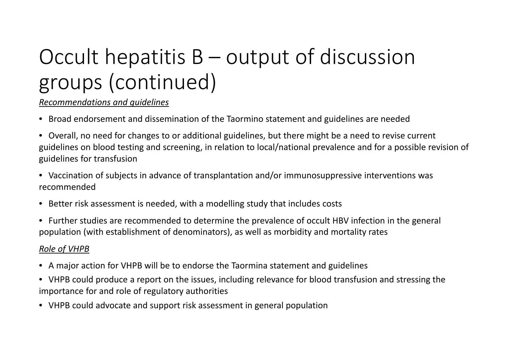# Occult hepatitis B – output of discussion groups (continued)

#### *Recommendations and guidelines*

- Broad endorsement and dissemination of the Taormino statement and guidelines are needed
- Overall, no need for changes to or additional guidelines, but there might be <sup>a</sup> need to revise current guidelines on blood testing and screening, in relation to local/national prevalence and for <sup>a</sup> possible revision of guidelines for transfusion
- Vaccination of subjects in advance of transplantation and/or immunosuppressive interventions was recommended
- Better risk assessment is needed, with <sup>a</sup> modelling study that includes costs
- Further studies are recommended to determine the prevalence of occult HBV infection in the general population (with establishment of denominators), as well as morbidity and mortality rates

#### *Role of VHPB*

- A major action for VHPB will be to endorse the Taormina statement and guidelines
- VHPB could produce <sup>a</sup> report on the issues, including relevance for blood transfusion and stressing the importance for and role of regulatory authorities
- VHPB could advocate and support risk assessment in general population